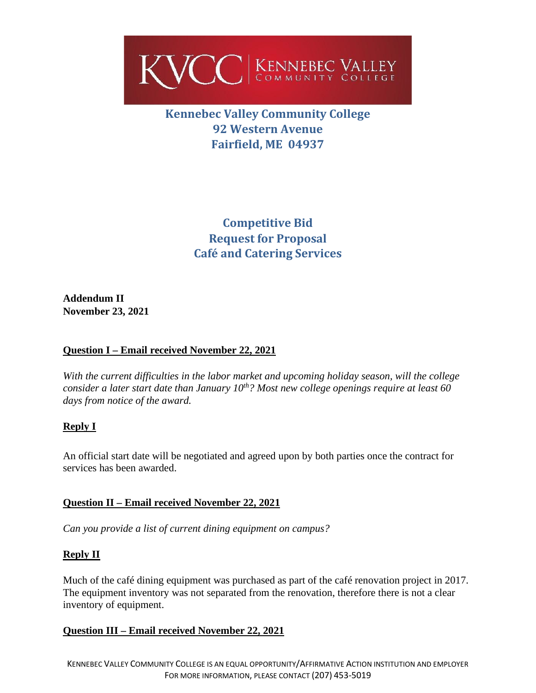

# **Kennebec Valley Community College 92 Western Avenue Fairfield, ME 04937**

**Competitive Bid Request for Proposal Café and Catering Services**

**Addendum II November 23, 2021**

# **Question I – Email received November 22, 2021**

*With the current difficulties in the labor market and upcoming holiday season, will the college consider a later start date than January 10<sup>th</sup>? Most new college openings require at least 60 days from notice of the award.* 

# **Reply I**

An official start date will be negotiated and agreed upon by both parties once the contract for services has been awarded.

# **Question II – Email received November 22, 2021**

*Can you provide a list of current dining equipment on campus?*

# **Reply II**

Much of the café dining equipment was purchased as part of the café renovation project in 2017. The equipment inventory was not separated from the renovation, therefore there is not a clear inventory of equipment.

# **Question III – Email received November 22, 2021**

KENNEBEC VALLEY COMMUNITY COLLEGE IS AN EQUAL OPPORTUNITY/AFFIRMATIVE ACTION INSTITUTION AND EMPLOYER FOR MORE INFORMATION, PLEASE CONTACT (207) 453-5019